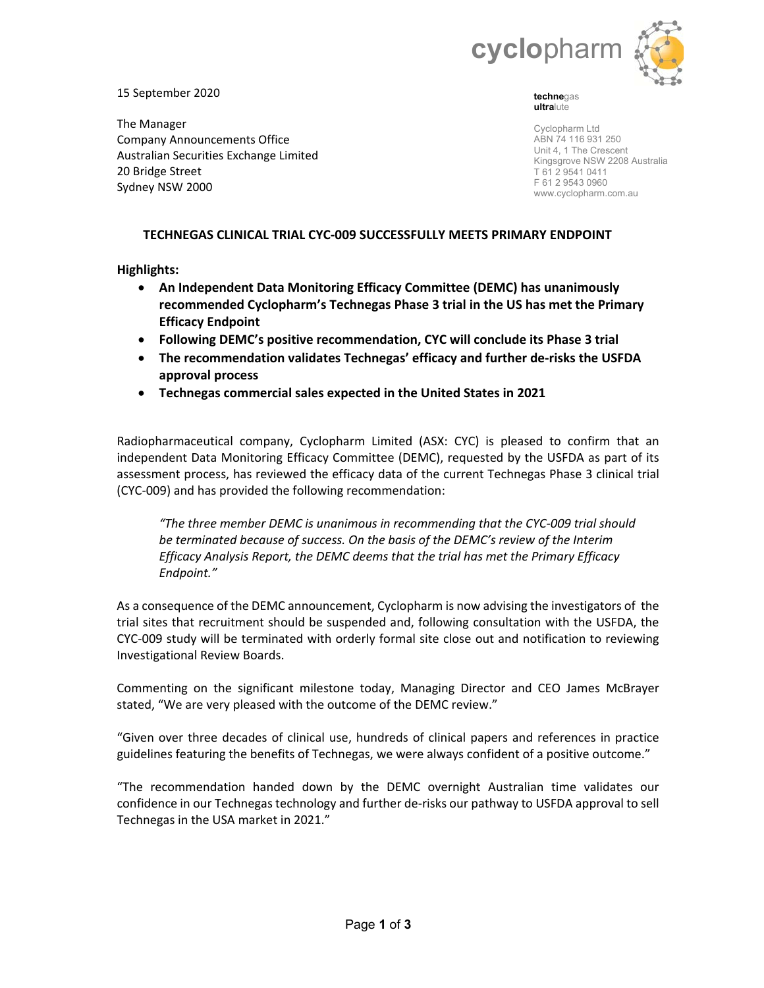

15 September 2020

The Manager Company Announcements Office Australian Securities Exchange Limited 20 Bridge Street Sydney NSW 2000

**techne**gas **ultra**lute

Cyclopharm Ltd ABN 74 116 931 250 Unit 4, 1 The Crescent Kingsgrove NSW 2208 Australia T 61 2 9541 0411 F 61 2 9543 0960 www.cyclopharm.com.au

# **TECHNEGAS CLINICAL TRIAL CYC‐009 SUCCESSFULLY MEETS PRIMARY ENDPOINT**

**Highlights:**

- **An Independent Data Monitoring Efficacy Committee (DEMC) has unanimously recommended Cyclopharm's Technegas Phase 3 trial in the US has met the Primary Efficacy Endpoint**
- **Following DEMC's positive recommendation, CYC will conclude its Phase 3 trial**
- **The recommendation validates Technegas' efficacy and further de‐risks the USFDA approval process**
- **Technegas commercial sales expected in the United States in 2021**

Radiopharmaceutical company, Cyclopharm Limited (ASX: CYC) is pleased to confirm that an independent Data Monitoring Efficacy Committee (DEMC), requested by the USFDA as part of its assessment process, has reviewed the efficacy data of the current Technegas Phase 3 clinical trial (CYC‐009) and has provided the following recommendation:

*"The three member DEMC is unanimous in recommending that the CYC‐009 trial should be terminated because of success. On the basis of the DEMC's review of the Interim Efficacy Analysis Report, the DEMC deems that the trial has met the Primary Efficacy Endpoint."* 

As a consequence of the DEMC announcement, Cyclopharm is now advising the investigators of the trial sites that recruitment should be suspended and, following consultation with the USFDA, the CYC‐009 study will be terminated with orderly formal site close out and notification to reviewing Investigational Review Boards.

Commenting on the significant milestone today, Managing Director and CEO James McBrayer stated, "We are very pleased with the outcome of the DEMC review."

"Given over three decades of clinical use, hundreds of clinical papers and references in practice guidelines featuring the benefits of Technegas, we were always confident of a positive outcome."

"The recommendation handed down by the DEMC overnight Australian time validates our confidence in our Technegas technology and further de‐risks our pathway to USFDA approval to sell Technegas in the USA market in 2021."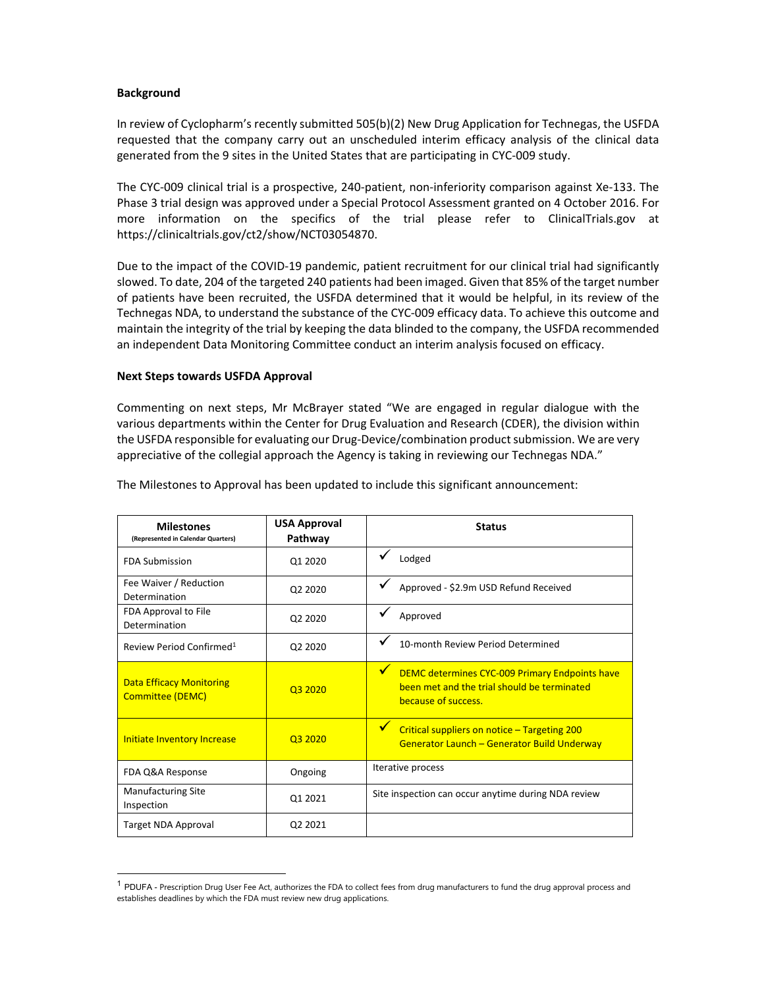## **Background**

In review of Cyclopharm's recently submitted 505(b)(2) New Drug Application for Technegas, the USFDA requested that the company carry out an unscheduled interim efficacy analysis of the clinical data generated from the 9 sites in the United States that are participating in CYC‐009 study.

The CYC‐009 clinical trial is a prospective, 240‐patient, non‐inferiority comparison against Xe‐133. The Phase 3 trial design was approved under a Special Protocol Assessment granted on 4 October 2016. For more information on the specifics of the trial please refer to ClinicalTrials.gov at https://clinicaltrials.gov/ct2/show/NCT03054870.

Due to the impact of the COVID-19 pandemic, patient recruitment for our clinical trial had significantly slowed. To date, 204 of the targeted 240 patients had been imaged. Given that 85% of the target number of patients have been recruited, the USFDA determined that it would be helpful, in its review of the Technegas NDA, to understand the substance of the CYC‐009 efficacy data. To achieve this outcome and maintain the integrity of the trial by keeping the data blinded to the company, the USFDA recommended an independent Data Monitoring Committee conduct an interim analysis focused on efficacy.

### **Next Steps towards USFDA Approval**

Commenting on next steps, Mr McBrayer stated "We are engaged in regular dialogue with the various departments within the Center for Drug Evaluation and Research (CDER), the division within the USFDA responsible for evaluating our Drug‐Device/combination product submission. We are very appreciative of the collegial approach the Agency is taking in reviewing our Technegas NDA."

| <b>Milestones</b><br>(Represented in Calendar Quarters)    | <b>USA Approval</b><br>Pathway  | <b>Status</b>                                                                                                                                |
|------------------------------------------------------------|---------------------------------|----------------------------------------------------------------------------------------------------------------------------------------------|
| <b>FDA Submission</b>                                      | Q1 2020                         | Lodged                                                                                                                                       |
| Fee Waiver / Reduction<br>Determination                    | Q <sub>2</sub> 20 <sub>20</sub> | ✓<br>Approved - \$2.9m USD Refund Received                                                                                                   |
| FDA Approval to File<br>Determination                      | Q <sub>2</sub> 20 <sub>20</sub> | Approved                                                                                                                                     |
| Review Period Confirmed <sup>1</sup>                       | Q <sub>2</sub> 20 <sub>20</sub> | 10-month Review Period Determined                                                                                                            |
| <b>Data Efficacy Monitoring</b><br><b>Committee (DEMC)</b> | 03 20 20                        | $\blacktriangledown$<br>DEMC determines CYC-009 Primary Endpoints have<br>been met and the trial should be terminated<br>because of success. |
| <b>Initiate Inventory Increase</b>                         | 03 2020                         | $\mathbf{v}$<br>Critical suppliers on notice - Targeting 200<br><b>Generator Launch - Generator Build Underway</b>                           |
| FDA Q&A Response                                           | Ongoing                         | Iterative process                                                                                                                            |
| <b>Manufacturing Site</b><br>Inspection                    | Q1 2021                         | Site inspection can occur anytime during NDA review                                                                                          |
| Target NDA Approval                                        | Q <sub>2</sub> 2021             |                                                                                                                                              |

The Milestones to Approval has been updated to include this significant announcement:

 $<sup>1</sup>$  PDUFA - Prescription Drug User Fee Act, authorizes the FDA to collect fees from drug manufacturers to fund the drug approval process and</sup> establishes deadlines by which the FDA must review new drug applications.